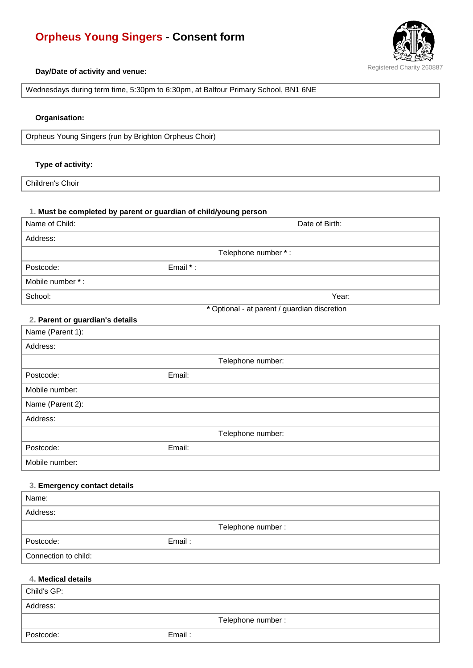# **Orpheus Young Singers - Consent form**



#### **Day/Date of activity and venue:**

Wednesdays during term time, 5:30pm to 6:30pm, at Balfour Primary School, BN1 6NE

#### **Organisation:**

Orpheus Young Singers (run by Brighton Orpheus Choir)

#### **Type of activity:**

Children's Choir

#### **1. Must be completed by parent or guardian of child/young person**

| Name of Child:                        | Date of Birth:                               |
|---------------------------------------|----------------------------------------------|
| Address:                              |                                              |
|                                       | Telephone number *:                          |
| Postcode:                             | Email *:                                     |
| Mobile number *:                      |                                              |
| School:                               | Year:                                        |
|                                       | * Optional - at parent / guardian discretion |
| 2. Parent or guardian's details       |                                              |
| Name (Parent 1):                      |                                              |
| Address:                              |                                              |
|                                       | Telephone number:                            |
| Postcode:                             | Email:                                       |
| Mobile number:                        |                                              |
| Name (Parent 2):                      |                                              |
| Address:                              |                                              |
|                                       | Telephone number:                            |
| Postcode:                             | Email:                                       |
| Mobile number:                        |                                              |
|                                       |                                              |
| 3. Emergency contact details<br>Name: |                                              |
| Address:                              |                                              |
|                                       | Telephone number :                           |
| Postcode:                             | Email:                                       |
| Connection to child:                  |                                              |
|                                       |                                              |
| 4. Medical details                    |                                              |
| Child's GP:                           |                                              |
| Address:                              |                                              |
|                                       | Telephone number:                            |

Postcode: Email :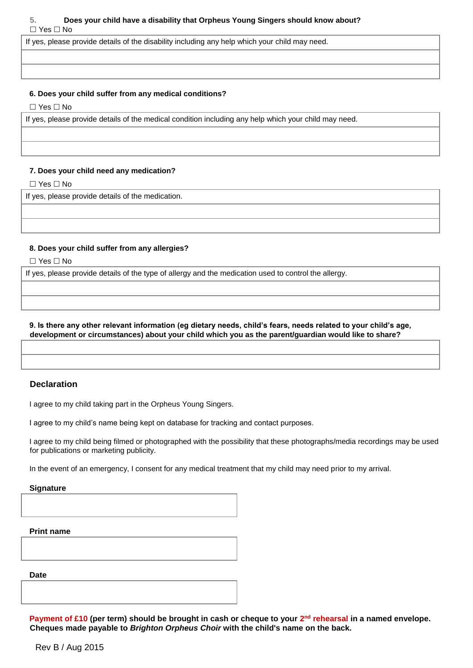# **5. Does your child have a disability that Orpheus Young Singers should know about?**   $\Box$  Yes  $\Box$  No

If yes, please provide details of the disability including any help which your child may need.

#### **6. Does your child suffer from any medical conditions?**

 $\Box$  Yes  $\Box$  No

If yes, please provide details of the medical condition including any help which your child may need.

#### **7. Does your child need any medication?**

 $\Box$  Yes  $\Box$  No

If yes, please provide details of the medication.

## **8. Does your child suffer from any allergies?**

 $\Box$  Yes  $\Box$  No

If yes, please provide details of the type of allergy and the medication used to control the allergy.

## **9. Is there any other relevant information (eg dietary needs, child's fears, needs related to your child's age, development or circumstances) about your child which you as the parent/guardian would like to share?**

# **Declaration**

I agree to my child taking part in the Orpheus Young Singers.

I agree to my child's name being kept on database for tracking and contact purposes.

I agree to my child being filmed or photographed with the possibility that these photographs/media recordings may be used for publications or marketing publicity.

In the event of an emergency, I consent for any medical treatment that my child may need prior to my arrival.

#### **Signature**

**Print name** 

**Date** 

**Payment of £10 (per term) should be brought in cash or cheque to your 2<sup>nd</sup> rehearsal in a named envelope. Cheques made payable to** *Brighton Orpheus Choir* **with the child's name on the back.**